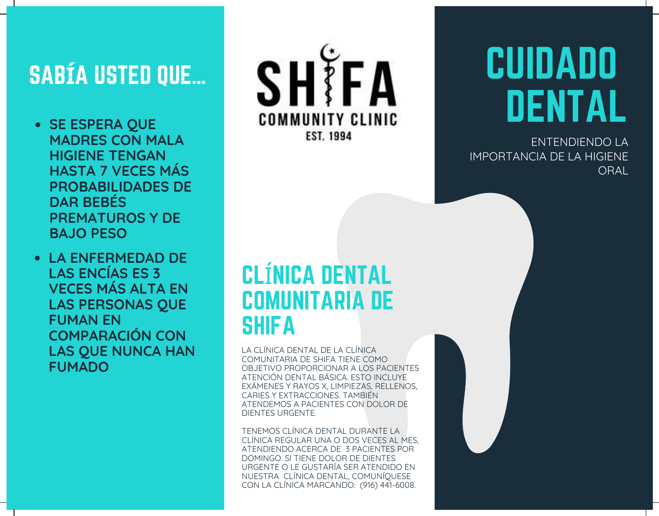## SAB**Í**A USTED QUE…

- **SE ESPERA QUE MADRES CON MALA HIGIENE TENGAN HASTA 7 VECES MÁS PROBABILIDADES DE DAR BEBÉS PREMATUROS Y DE BAJO PESO**
- **LA ENFERMEDAD DE LAS ENCÍAS ES 3 VECES MÁS ALTA EN LAS PERSONAS QUE FUMAN EN COMPARACIÓN CON LAS QUE NUNCA HAN FUMADO**



# CUIDADO DENTAL

ENTENDIENDO LA IMPORTANCIA DE LA HIGIENE **ORAL** 

### CLÍNICA DENTAL COMUNITARIA DE **SHIFA**

LA CLÍNICA DENTAL DE LA CLÍNICA COMUNITARIA DE SHIFA TIENE COMO OBJETIVO PROPORCIONAR A LOS PACIENTES ATENCIÓN DENTAL BÁSICA. ESTO INCLUYE EXÁMENES Y RAYOS X, LIMPIEZAS, RELLENOS, CARIES Y EXTRACCIONES. TAMBIÉN ATENDEMOS A PACIENTES CON DOLOR DE DIENTES URGENTE.

TENEMOS CLÍNICA DENTAL DURANTE LA CLÍNICA REGULAR UNA O DOS VECES AL MES, ATENDIENDO ACERCA DE 3 PACIENTES POR DOMINGO. SI TIENE DOLOR DE DIENTES URGENTE O LE GUSTARÍA SER ATENDIDO EN NUESTRA CLÍNICA DENTAL, COMUNÍQUESE CON LA CLÍNICA MARCANDO: (916) 441-6008.